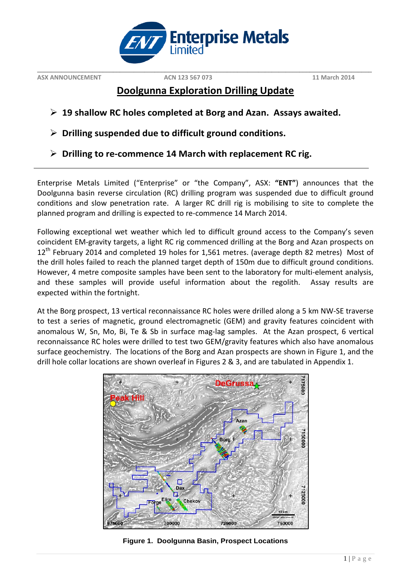

**ASX ANNOUNCEMENT ACN 123 567 073 11 March 2014** 

\_\_\_\_\_\_\_\_\_\_\_\_\_\_\_\_\_\_\_\_\_\_\_\_\_\_\_\_\_\_\_\_\_\_\_\_\_\_\_\_\_\_\_\_\_\_\_\_\_\_\_\_\_\_\_\_\_\_\_\_\_\_\_\_\_\_\_\_\_\_\_\_\_\_\_\_\_\_\_\_\_\_\_\_\_\_\_\_\_\_\_\_\_\_\_\_\_

## **Doolgunna Exploration Drilling Update**

- **19 shallow RC holes completed at Borg and Azan. Assays awaited.**
- **Drilling suspended due to difficult ground conditions.**
- **Drilling to re-commence 14 March with replacement RC rig.**

Enterprise Metals Limited ("Enterprise" or "the Company", ASX: **"ENT"**) announces that the Doolgunna basin reverse circulation (RC) drilling program was suspended due to difficult ground conditions and slow penetration rate. A larger RC drill rig is mobilising to site to complete the planned program and drilling is expected to re-commence 14 March 2014.

Following exceptional wet weather which led to difficult ground access to the Company's seven coincident EM-gravity targets, a light RC rig commenced drilling at the Borg and Azan prospects on 12<sup>th</sup> February 2014 and completed 19 holes for 1,561 metres. (average depth 82 metres) Most of the drill holes failed to reach the planned target depth of 150m due to difficult ground conditions. However, 4 metre composite samples have been sent to the laboratory for multi-element analysis, and these samples will provide useful information about the regolith. Assay results are expected within the fortnight.

At the Borg prospect, 13 vertical reconnaissance RC holes were drilled along a 5 km NW-SE traverse to test a series of magnetic, ground electromagnetic (GEM) and gravity features coincident with anomalous W, Sn, Mo, Bi, Te & Sb in surface mag-lag samples. At the Azan prospect, 6 vertical reconnaissance RC holes were drilled to test two GEM/gravity features which also have anomalous surface geochemistry. The locations of the Borg and Azan prospects are shown in Figure 1, and the drill hole collar locations are shown overleaf in Figures 2 & 3, and are tabulated in Appendix 1.



**Figure 1. Doolgunna Basin, Prospect Locations**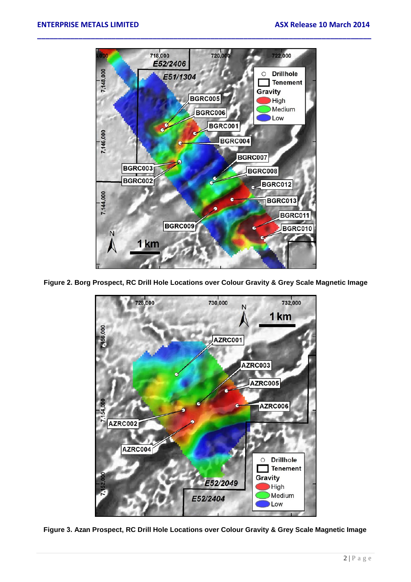

**Figure 2. Borg Prospect, RC Drill Hole Locations over Colour Gravity & Grey Scale Magnetic Image** 



**Figure 3. Azan Prospect, RC Drill Hole Locations over Colour Gravity & Grey Scale Magnetic Image**